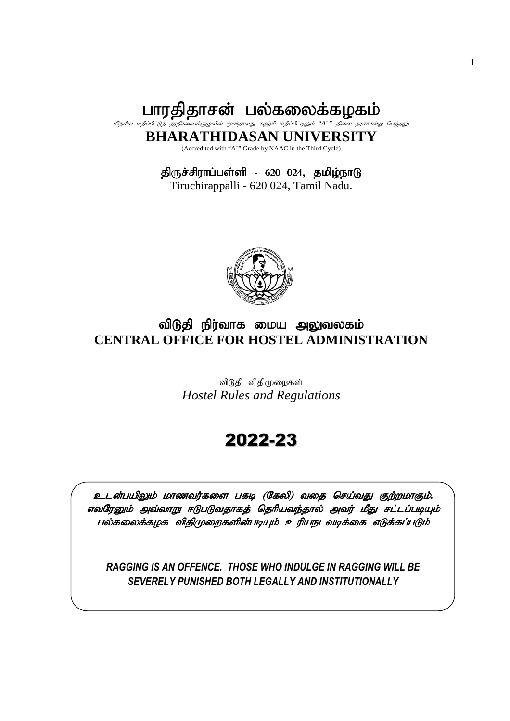பாரதிதாசன் பல்கலைக்கழகம் (தேசிய மதிப்பீட்டுத் தரநிர்ணயக்குழுவின் மூன்றாவது சுழற்சி மதிப்பீட்டிலும் "A<sup>+</sup>" நிலை தரச்சான்று பெற்றது) **BHARATHIDASAN UNIVERSITY** 

(Accredited with "A<sup>+</sup>" Grade by NAAC in the Third Cycle)

திருச்சிராப்பள்ளி - 620 024, தமிழ்நாடு

Tiruchirappalli - 620 024, Tamil Nadu.



# விடுதி நிர்வாக மைய அலுவலகம் **CENTRAL OFFICE FOR HOSTEL ADMINISTRATION**

விடுதி விதிமுறைகள் *Hostel Rules and Regulations* 

# 2022-23

உடன்பயிலும் மாணவர்களை பகடி (கேலி) வதை செய்வது குற்றமாகும். எவரேனும் அவ்வாறு ஈடுபடுவதாகத் தெரியவந்தால் அவர் மீது சட்டப்படியும் பல்கலைக்கழக விதிமுறைகளின்படியும் உரியநடவடிக்கை எடுக்கப்படும்

*RAGGING IS AN OFFENCE. THOSE WHO INDULGE IN RAGGING WILL BE SEVERELY PUNISHED BOTH LEGALLY AND INSTITUTIONALLY*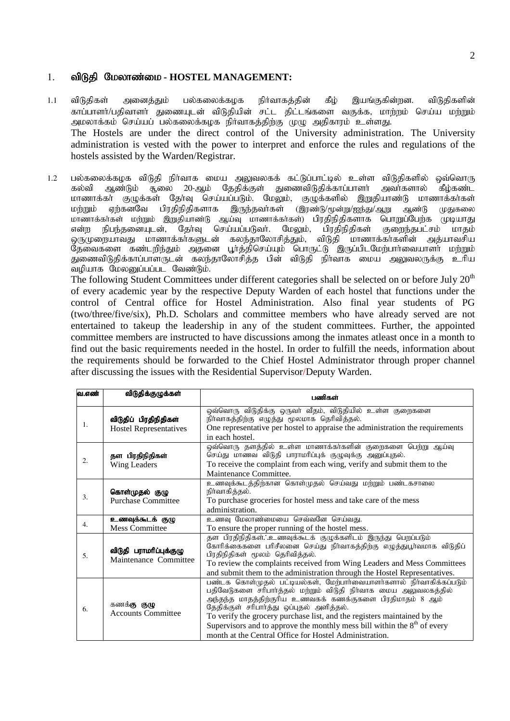#### 1. விடுதி மேலாண்மை - HOSTEL MANAGEMENT:

- 1.1 விடுதிகள் அனைத்தும் பல்கலைக்கழக நிர்வாகத்தின் கீழ் இயங்குகின்றன. விடுதிகளின் காப்பாளர்/பதிவாளர் துணையுடன் விடுதியின் சட்ட திட்டங்களை வகுக்க, மாற்றம் செய்ய மற்றும் அமலாக்கம் செய்யப் பல்கலைக்கழக நிர்வாகத்திற்கு முழு அதிகாரம் உள்ளது. The Hostels are under the direct control of the University administration. The University administration is vested with the power to interpret and enforce the rules and regulations of the hostels assisted by the Warden/Registrar.
- 1.2 பல்கலைக்கழக விடுதி நிர்வாக மைய அலுவலகக் கட்டுப்பாட்டில் உள்ள விடுதிகளில் ஒவ்வொரு<br>20-ஆம் கல்வி ஆண்டும் ஆலை 20-ஆம் தேதிக்குள் துணைவிடுதிக்காப்பாளர் அவர்களால் கீழ்கண்ட ்கல்வி ஆண்டும் சூலை 20-ஆம் தேதிக்குள் துணைவிடுதிக்காப்பாளர் அவர்களால் கீம்கண்ட மாணாக்கா் குழுக்கள் தோவு செய்யப்படும். மேலும், குழுக்களில் இறுதியாண்டு மாணாக்கா்கள் மற்றும் ஏற்கனவே பிரதிநிதிகளாக இருந்தவர்கள் (இரண்டு/மூன்று/ஐந்து/ஆறு ஆண்டு முதுகலை<br>மாணாக்கர்கள் மற்றும் இறுதியாண்டு ஆய்வு மாணாக்கர்கள்) பிரதிநிதிகளாக பொறுப்பேற்க முடியாது மாணாக்கர்கள் மற்றும் இறுதியாண்டு ஆய்வு மாணாக்கர்கள்) பிரதிநிதிகளாக பொறுப்பேற்க முடியாது<br>என்ற நிபந்தனையுடன், தேர்வு செய்யப்படுவர். மேலும், பிரதிநிதிகள் குறைந்தபட்சம் மாதம் என்ற நிபந்தனையுடன், தேர்வு செய்யப்படுவர்.<br>ஒருமுறையாவது மாணாக்கர்களுடன் கலந்தாலோ $\epsilon$ கலந்தாலோசித்தும், விடுதி மாணாக்கா்களின் அத்யாவசிய தேவைகளை கண்டறிந்தும் அதனை பூர்த்திசெய்யும் பொருட்டு இருப்பிடமேற்பார்வையாளர் மற்றும் துணைவிடுதிக்காப்பாளருடன் கலந்தாலோசித்த பின் விடுதி நிர்வாக மைய அலுவலருக்கு உரிய ்வமியாக மேலனுப்பப்பட வேண்டும். $\cdot$

The following Student Committees under different categories shall be selected on or before July  $20<sup>th</sup>$ of every academic year by the respective Deputy Warden of each hostel that functions under the control of Central office for Hostel Administration. Also final year students of PG (two/three/five/six), Ph.D. Scholars and committee members who have already served are not entertained to takeup the leadership in any of the student committees. Further, the appointed committee members are instructed to have discussions among the inmates atleast once in a month to find out the basic requirements needed in the hostel. In order to fulfill the needs, information about the requirements should be forwarded to the Chief Hostel Administrator through proper channel after discussing the issues with the Residential Supervisor/Deputy Warden.

| வ.எண் | விடுதிக்குழுக்கள்                                      | பணிகள்                                                                                                                                                                                                                                                                                                                                                                                                                                                               |
|-------|--------------------------------------------------------|----------------------------------------------------------------------------------------------------------------------------------------------------------------------------------------------------------------------------------------------------------------------------------------------------------------------------------------------------------------------------------------------------------------------------------------------------------------------|
| 1.    | விடுதிப் பிரதிநிதிகள்<br><b>Hostel Representatives</b> | ஒவ்வொரு விடுதிக்கு ஒருவர் வீதம், விடுதியில் உள்ள குறைகளை<br>நிா்வாகத்திற்கு எழுத்து மூலமாக தெரிவித்தல்.<br>One representative per hostel to appraise the administration the requirements<br>in each hostel.                                                                                                                                                                                                                                                          |
| 2.    | தள பிரதிநிதிகள்<br>Wing Leaders                        | ஒவ்வொரு தளத்தில் உள்ள மாணாக்கா்களின் குறைகளை பெற்று ஆய்வு<br>செய்து மாணவ விடுதி பாராமாிப்புக் குழுவுக்கு அனுப்புதல்.<br>To receive the complaint from each wing, verify and submit them to the<br>Maintenance Committee.                                                                                                                                                                                                                                             |
| 3.    | கொள்முதல் குழு<br><b>Purchase Committee</b>            | உணவுக்கூடத்திற்கான கொள்முதல் செய்வது மற்றும் பண்டகசாலை<br>நிா்வாகித்தல்.<br>To purchase groceries for hostel mess and take care of the mess<br>administration.                                                                                                                                                                                                                                                                                                       |
| 4.    | உணவுக்கூடக் குழு<br><b>Mess Committee</b>              | உணவு மேலாண்மையை செவ்வனே செய்வது.<br>To ensure the proper running of the hostel mess.                                                                                                                                                                                                                                                                                                                                                                                 |
| 5.    | விடுதி பராமரிப்புக்குழு<br>Maintenance Committee       | தள பிரதிநிதிகள். உணவுக்கூடக் குழுக்களிடம் இருந்து பெறப்படும்<br>கோரிக்கைகளை பரிசீலனை செய்து நிர்வாகத்திற்கு எழுத்துபூர்வமாக விடுதிப்<br>பிரதிநிதிகள் மூலம் தெரிவித்தல்.<br>To review the complaints received from Wing Leaders and Mess Committees<br>and submit them to the administration through the Hostel Representatives.                                                                                                                                      |
| 6.    | கணக் <b>கு குழு</b><br><b>Accounts Committee</b>       | பண்டக கொள்முதல் பட்டியல்கள், மேற்பார்வையாளர்களால் நிர்வாகிக்கப்படும்<br>பதிவேடுகளை சரிபார்த்தல் மற்றும் விடுதி நிர்வாக மைய அலுவலகத்தில்<br>அந்தந்த மாதத்திற்குரிய உணவகக் கணக்குகளை பிரதிமாதம் 8 ஆம்<br>தேதிக்குள் சரிபாா்த்து ஒப்புதல் அளித்தல்.<br>To verify the grocery purchase list, and the registers maintained by the<br>Supervisors and to approve the monthly mess bill within the $8th$ of every<br>month at the Central Office for Hostel Administration. |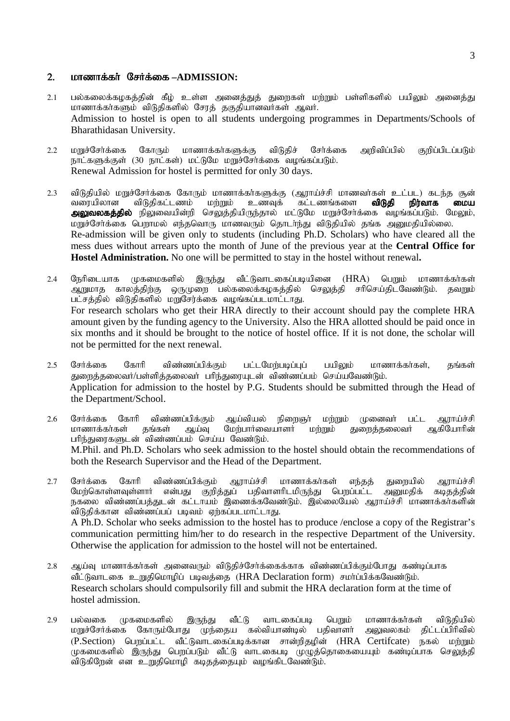#### 2. *LOTe* மாணாக்கர் சேர்க்கை –ADMISSION:

- 2.1 பல்கலைக்கழகத்தின் கீழ் உள்ள அனைத்துத் துறைகள் மற்றும் பள்ளிகளில் பயிலும் அனைத்து மாணாக்காகளும் விடுதிகளில் சேரத் தகுதியானவாகள் ஆவா. Admission to hostel is open to all students undergoing programmes in Departments/Schools of Bharathidasan University.
- 2.2 மறுச்சேர்க்கை கோரும் மாணாக்கர்களுக்கு விடுதிச் சேர்க்கை அறிவிப்பில் குறிப்பிடப்படும் நாட்களுக்குள் (30 நாட்கள்) மட்டுமே மறுச்சேர்க்கை வழங்கப்படும். Renewal Admission for hostel is permitted for only 30 days.
- 2.3 விடுதியில் மறுச்சேர்க்கை கோரும் மாணாக்கர்களுக்கு (ஆராய்ச்சி மாணவர்கள் உட்பட) கடந்த சூன்<br>வரையிலான விடுதிகட்டணம் மற்றும் உணவுக் கட்டணங்களை **விடுதி நிர்வாக மைய** விடுகிகட்டணம் <mark>அலுவலகத்தில்</mark> நிலுவையின்றி செலுத்தியிருந்தால் மட்டுமே மறுச்சேர்க்கை வழங்கப்படும். மேலும், மறுச்சேர்க்கை பெறாமல் எந்தவொரு மாணவரும் தொடர்ந்து விடுதியில் தங்க அனுமதியில்லை. Re-admission will be given only to students (including Ph.D. Scholars) who have cleared all the mess dues without arrears upto the month of June of the previous year at the **Central Office for Hostel Administration.** No one will be permitted to stay in the hostel without renewal**.**
- 2.4 நேரிடையாக முகமைகளில் இருந்து வீட்டுவாடகைப்படியினை (HRA) பொய் மாணாக்கர்கள் ஆறுமாத காலத்திற்கு ஒருமுறை பல்கலைக்கழகத்தில் செலுத்தி சரிசெய்திடவேண்டும். தவறும் பட்சத்தில் விடுதிகளில் மறுசேர்க்கை வழங்கப்படமாட்டாது. For research scholars who get their HRA directly to their account should pay the complete HRA amount given by the funding agency to the University. Also the HRA allotted should be paid once in six months and it should be brought to the notice of hostel office. If it is not done, the scholar will not be permitted for the next renewal.
- 2.5 சேர்க்கை கோரி விண்ணப்பிக்கும் பட்டமேற்படிப்புப் பயிலும் மாணாக்கர்கள், தங்கள் துறைத்தலைவர்/பள்ளித்தலைவர் பரிந்துரையுடன் விண்ணப்பம் செய்யவேண்டும். Application for admission to the hostel by P.G. Students should be submitted through the Head of the Department/School.
- 2.6 சேர்க்கை கோரி விண்ணப்பிக்கும் ஆய்வியல் நிறைஞர் மற்றும் முனைவர் பட்ட ஆராய்ச்சி<br>மாணாக்கர்கள் தங்கள் ஆய்வு மேற்பார்வையாளர் மற்றும் துறைத்தலைவர் ஆகியோரின் மேற்பார்வையாளர் மற்றும் துறைத்தலைவர் பரிந்துரைகளுடன் விண்ணப்பம் செய்ய வேண்டும். M.Phil. and Ph.D. Scholars who seek admission to the hostel should obtain the recommendations of both the Research Supervisor and the Head of the Department.
- 2.7 சேர்க்கை கோரி விண்ணப்பிக்கும் ஆராய்ச்சி மாணாக்கர்கள் எந்தத் துறையில் ஆராய்ச்சி<br>மேற்கொள்ளவுள்ளார் என்பது குறித்துப் பதிவாளரிடமிருந்து பெறப்பட்ட அனுமதிக் கடிதத்தின் மேந்கொள்ளவுள்ளார் என்பது குறித்துப் பதிவாளரிடமிருந்து ...<br>நகலை விண்ணப்பத்துடன் கட்டாயம் இணைக்கவேண்டும். இல்லையேல் ஆராய்ச்சி மாணாக்கர்களின் .<br>விடுகிக்கான விண்ணப்பப் படிவம் எர்கப்படமாட்டாகு. A Ph.D. Scholar who seeks admission to the hostel has to produce /enclose a copy of the Registrar's communication permitting him/her to do research in the respective Department of the University. Otherwise the application for admission to the hostel will not be entertained.
- 2.8 ஆய்வு மாணாக்கா்கள் அனைவரும் விடுதிச்சோ்க்கைக்காக விண்ணப்பிக்கும்போது கண்டிப்பாக வீட்டுவாடகை உறுகிமொமிப் படிவக்கை (HRA Declaration form) சமர்ப்பிக்கவேண்டும். Research scholars should compulsorily fill and submit the HRA declaration form at the time of hostel admission.
- 2.9 பல்வகை முகமைகளில் இருந்து வீட்டு வாடகைப்படி பெறும் மாணாக்கா்கள் விடுதியில்<br>மறுச்சோ்க்கை கோரும்போது முந்தைய கல்வியாண்டில் பதிவாளா் அலுவலகம் திட்டப்பிாிவில் முந்தைய கல்வியாண்டில் பதிவாளர் அலுவலகம் திட்டப்பிரிவில் (P.Section) பெறப்பட்ட வீட்டுவாடகைப்படிக்கான சான்றிதழின் (HRA Certifcate) நகல் மற்றும் rமுகமைகளில் இருந்து பொப்படும் வீட்டு வாடகைபடி முழுத்தொகையையும் கண்டிப்பாக செலுத்தி விடுகிறேன் என உறுதிமொழி கடிதத்தையும் வழங்கிடவேண்டும்.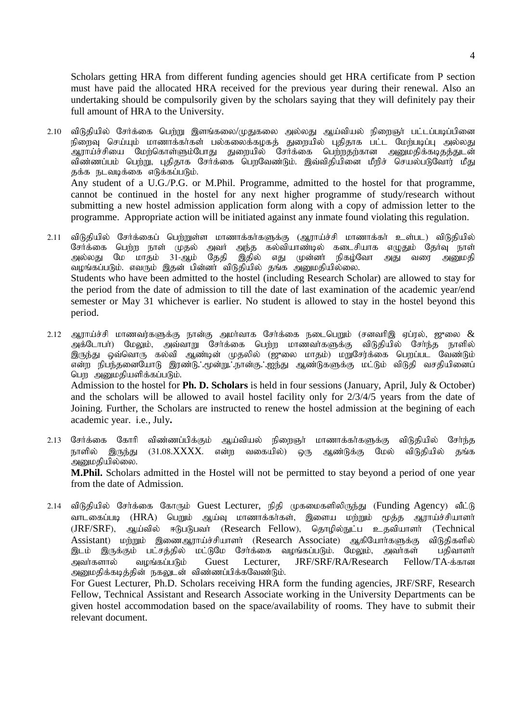Scholars getting HRA from different funding agencies should get HRA certificate from P section must have paid the allocated HRA received for the previous year during their renewal. Also an undertaking should be compulsorily given by the scholars saying that they will definitely pay their full amount of HRA to the University.

- 2.10 விடுதியில் சேர்க்கை பெற்று இளங்கலை/முதுகலை அல்லது ஆய்வியல் நிறைஞர் பட்டப்படிப்பினை நிறைவு செய்யும் மாணாக்கா்கள் பல்கலைக்கழகத் துறையில் புதிதாக பட்ட மேற்படிப்பு அல்லது .<br>ஆராய்ச்சியை மேற்கொள்ளும்போது துறையில் சோக்கை பெற்றதற்கான அனுமதிக்கடிதத்துடன் விண்ணப்பம் பெற்று, புதிதாக சேர்க்கை பெறவேண்டும். இவ்விதியினை மீறிச் செயல்படுவோர் மீது தக்க நடவடிக்கை எடுக்கப்படும். Any student of a U.G./P.G. or M.Phil. Programme, admitted to the hostel for that programme, cannot be continued in the hostel for any next higher programme of study/research without submitting a new hostel admission application form along with a copy of admission letter to the programme. Appropriate action will be initiated against any inmate found violating this regulation.
- 2.11 விடுதியில் சேர்க்கைப் பெற்றுள்ள மாணாக்கர்களுக்கு (ஆராய்ச்சி மாணாக்கர் உள்பட) விடுதியில் சேர்க்கை பெற்ற நாள் முதல் அவர் அந்த கல்வியாண்டில் கடைசியாக எழுதும் தேர்வு நாள்<br>அல்லது மே மாதம் 31-ஆம் தேதி இதில் எது முன்னர் நிகழ்வோ அது வரை அனுமதி எது முன்னர் நிகழ்வோ அது வரை அனுமதி வழங்கப்படும். எவரும் இதன் பின்னா் விடுதியில் தங்க அனுமதியில்லை. Students who have been admitted to the hostel (including Research Scholar) are allowed to stay for the period from the date of admission to till the date of last examination of the academic year/end semester or May 31 whichever is earlier. No student is allowed to stay in the hostel beyond this period.
- 2.12 அராய்ச்சி மாணவர்களுக்கு நான்கு அமர்வாக சேர்க்கை நடைபெறும் (சனவரிஇ ஏப்ரல், ஜுலை  $\&$ அக்டோபா்) மேலும், அவ்வாறு சோக்கை பெற்ற மாணவாகளுக்கு விடுதியில் சோந்த நாளில் இருந்து ஒவ்வொரு கல்வி ஆண்டின் முதலில் (ஜுலை மாதம்) மறுசேர்க்கை பெறப்பட் வேண்டும்  $\widetilde{\phi}$ ன்ற நிபந்தனையோடு இரண்டு∴மூன்று∴நான்கு∴ஐந்து ஆண்டுகளுக்கு மட்டும் விடுதி வசதியினைப் பொ அறுமதியளிக்கப்படும். Admission to the hostel for **Ph. D. Scholars** is held in four sessions (January, April, July & October) and the scholars will be allowed to avail hostel facility only for 2/3/4/5 years from the date of Joining. Further, the Scholars are instructed to renew the hostel admission at the begining of each academic year. i.e., July**.**
- 2.13 சேர்க்கை கோரி விண்ணப்பிக்கும் ஆய்வியல் நிறைஞர் மாணாக்கர்களுக்கு விடுதியில் சேர்ந்த நாளில் இருந்து (31.08.XXXX. என்ற வகையில்) ஒரு ஆண்டுக்கு மேல் விடுதியில் தங்க அனுமதியில்லை. **M.Phil.** Scholars admitted in the Hostel will not be permitted to stay beyond a period of one year from the date of Admission.
- 2.14 விடுதியில் சேர்க்கை கோரும் Guest Lecturer, நிதி முகமைகளிலிருந்து (Funding Agency) வீட்டு வாடகைப்படி (HRA) பெறும் ஆய்வு மாணாக்கர்கள், இளைய மற்றும் மூத்த ஆராய்ச்சியாளர் (JRF/SRF), ஆய்வில் ஈடுபடுபவர் (Research Fellow), தொழில்நுட்ப உதவியாளர் (Technical Assistant) மற்றும் இணைஆராய்ச்சியாளர் (Research Associate) ஆகியோர்களுக்கு விடுதிகளில் இடம் இருக்கும் பட்சத்தில் மட்டுமே சேர்க்கை வழங்கப்படும். மேலும், அவர்கள் பகிவாளர் அவர்களால் வழங்கப்படும் Guest Lecturer, JRF/SRF/RA/Research Fellow/TA-க்கான அனுமதிக்கடித்தின் நகலுடன் விண்ணப்பிக்கவேண்டும்.

For Guest Lecturer, Ph.D. Scholars receiving HRA form the funding agencies, JRF/SRF, Research Fellow, Technical Assistant and Research Associate working in the University Departments can be given hostel accommodation based on the space/availability of rooms. They have to submit their relevant document.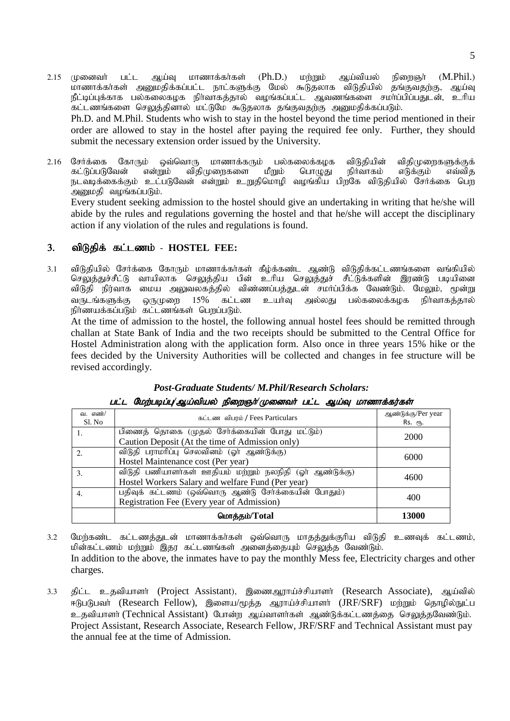- 2.15 முனைவர் பட்ட ஆய்வு மாணாக்கர்கள் (Ph.D.) மற்றும் ஆய்வியல் நிறைஞர் (M.Phil.) மாணாக்கர்கள் அனுமதிக்கப்பட்ட நாட்களுக்கு மேல் கூடுதலாக விடுதியில் தங்குவதற்கு, ஆய்வு நீட்டிப்புக்காக பல்கலைகழக நிா்வாகத்தால் வழங்கப்பட்ட ஆவணங்களை சமா்ப்பிப்பதுடன், உாிய .<br>கட்டணங்களை செலுத்தினால் மட்டுமே கூடுதலாக தங்குவதற்கு அனுமதிக்கப்படும். Ph.D. and M.Phil. Students who wish to stay in the hostel beyond the time period mentioned in their order are allowed to stay in the hostel after paying the required fee only. Further, they should submit the necessary extension order issued by the University.
- 2.16 சேர்க்கை கோரும் ஒவ்வொரு மாணாக்கரும் பல்கலைக்கழக விடுதியின் விதிமுறைகளுக்குக்<br>கட்டுப்படுவேன் என்றும் விதிமுறைகளை மீறும் பொழுது நிர்வாகம் எடுக்கும் எவ்வித கட்டுப்படுவேன் என்றும் விதிமுறைகளை மீறும் பொழுது நிர்வாகம் எடுக்கும் எவ்வித நடவடிக்கைக்கும் உட்படுவேன் என்றும் உறுதிமொழி வழங்கிய பிறகே விடுதியில் சேர்க்கை பெற  $m$ அனுமதி வழங்கப்படும். Every student seeking admission to the hostel should give an undertaking in writing that he/she will abide by the rules and regulations governing the hostel and that he/she will accept the disciplinary

#### 3. விடுதிக் கட்டணம் - HOSTEL FEE:

action if any violation of the rules and regulations is found.

3.1 விடுதியில் சேர்க்கை கோரும் மாணாக்கர்கள் கீழ்க்கண்ட ஆண்டு விடுதிக்கட்டணங்களை வங்கியில் .<br>செலுத்துச்சீட்டு வாயிலாக செலுத்திய பின் உரிய செலுத்துச் சீட்டுக்களின் இரண்டு படியினை விடுதி நிர்வாக மைய அலுவலகத்தில் விண்ணப்பத்துடன் சமா்ப்பிக்க வேண்டும். மேலும், மூன்று வருடங்களுக்கு ஒருமுறை 15% கட்டண உயர்வ அல்லது பல்கலைக்கமக நிர்வாகக்கால் நிர்ணயக்கப்படும் கட்டணங்கள் பெறப்படும்.

 At the time of admission to the hostel, the following annual hostel fees should be remitted through challan at State Bank of India and the two receipts should be submitted to the Central Office for Hostel Administration along with the application form. Also once in three years 15% hike or the fees decided by the University Authorities will be collected and changes in fee structure will be revised accordingly.

| வ. எண்/<br>Sl. No | கட்டண விபரம் / Fees Particulars                                                                               | ஆண்டுக்கு/Per year<br>Rs. ரூ. |
|-------------------|---------------------------------------------------------------------------------------------------------------|-------------------------------|
|                   | பிணைத் தொகை (முதல் சேர்க்கையின் போது மட்டும்)<br>Caution Deposit (At the time of Admission only)              | 2000                          |
|                   | விடுதி பராமரிப்பு செலவினம் (ஓர் ஆண்டுக்கு)                                                                    |                               |
| 2.                | Hostel Maintenance cost (Per year)                                                                            | 6000                          |
| 3.                | விடுதி பணியாளர்கள் ஊதியம் மற்றும் நலநிதி (ஓர் ஆண்டுக்கு)<br>Hostel Workers Salary and welfare Fund (Per year) | 4600                          |
| 4.                | பதிவுக் கட்டணம் (ஒவ்வொரு ஆண்டு சேர்க்கையின் போதும்)<br>Registration Fee (Every year of Admission)             | 400                           |
|                   | மொத்தம்/Total                                                                                                 | 13000                         |

#### *Post-Graduate Students/ M.Phil/Research Scholars:*  gl;l Nkw;gbg;G*/*Ma;tpay; epiwQh;*/*Kidth; gl;l Ma;T khzhf;fu;fs;

3.2 மேர்கண்ட கட்டணத்துடன் மாணாக்கா்கள் ஒவ்வொரு மாதத்துக்குரிய விடுதி உணவுக் கட்டணம், மின்கட்டணம் மற்றும் இதர கட்டணங்கள் அனைத்தையும் செலுத்த வேண்டும். In addition to the above, the inmates have to pay the monthly Mess fee, Electricity charges and other charges.

3.3 திட்ட உதவியாளர் (Project Assistant), இணைஆராய்ச்சியாளர் (Research Associate), ஆய்வில் ஈடுபடுபவர் (Research Fellow), இளைய/மூத்த ஆராய்ச்சியாளர் (JRF/SRF) மற்றும் தொழில்நுட்ப உதவியாளர் (Technical Assistant) போன்ற ஆய்வாளர்கள் ஆண்டுக்கட்டணத்தை செலுத்தவேண்டும். Project Assistant, Research Associate, Research Fellow, JRF/SRF and Technical Assistant must pay the annual fee at the time of Admission.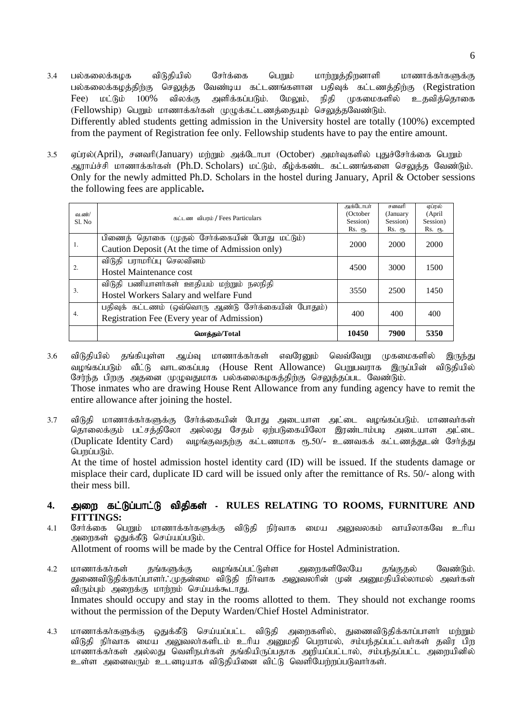- 3.4 பல்கலைக்கழக விடுதியில் சேர்க்கை பெறும் மாற்றுத்திறனாளி மாணாக்கர்களுக்கு பல்கலைக்கழத்திற்கு செலுத்த வேண்டிய கட்டணங்களான பதிவுக் கட்டணத்திற்கு (Registration Fee) மட்டும் 100% விலக்கு அளிக்கப்படும். மேலும், நிதி முகமைகளில் உதவித்தொகை (Fellowship) பெறும் மாணாக்கர்கள் முழுக்கட்டணத்தையும் செலுத்தவேண்டும். Differently abled students getting admission in the University hostel are totally (100%) excempted from the payment of Registration fee only. Fellowship students have to pay the entire amount.
- 3.5 ஏப்ரல்(April), சனவரி(January) மற்றும் அக்டோபா (October) அமர்வுகளில் புதுச்சேர்க்கை பெறும் ஆராய்ச்சி மாணாக்கர்கள் (Ph.D. Scholars) மட்டும், கீழ்க்கண்ட கட்டணங்களை செலுத்த வேண்டும். Only for the newly admitted Ph.D. Scholars in the hostel during January, April & October sessions the following fees are applicable**.**

|          |                                                     |              | சனவரி    | ஏப்ரல்   |
|----------|-----------------------------------------------------|--------------|----------|----------|
| வ.ண்/    | கட்டண விபரம் / Fees Particulars                     | (October     | (January | (April)  |
| Sl. No   |                                                     | Session)     | Session) | Session) |
| 1.<br>2. |                                                     | Rs. ரூ.      | Rs. ரூ.  | Rs. ரூ.  |
|          | பிணைத் தொகை (முதல் சேர்க்கையின் போது மட்டும்)       | 2000         | 2000     | 2000     |
|          | Caution Deposit (At the time of Admission only)     |              |          |          |
|          | விடுதி பராமரிப்பு செலவினம்                          | 4500         | 3000     | 1500     |
|          | Hostel Maintenance cost                             |              |          |          |
|          | விடுதி பணியாளர்கள் ஊதியம் மற்றும் நலநிதி            |              |          |          |
| 3.       | Hostel Workers Salary and welfare Fund              | 3550<br>2500 | 1450     |          |
|          | பதிவுக் கட்டணம் (ஒவ்வொரு ஆண்டு சேர்க்கையின் போதும்) | 400          | 400      | 400      |
| 4.       | Registration Fee (Every year of Admission)          |              |          |          |
|          | மொக்கம்/Total                                       | 10450        | 7900     | 5350     |

3.6 விடுதியில் தங்கியுள்ள ஆய்வு மாணாக்கா்கள் எவரேனும் வெவ்வேறு முகமைகளில் இருந்து வழங்கப்படும் வீட்டு வாடகைப்படி (House Rent Allowance) பெறுபவராக இருப்பின் விடுதியில் சேர்ந்த பிறகு அதனை முழுவதுமாக பல்கலைகழகத்திற்கு செலுத்தப்பட வேண்டும். Those inmates who are drawing House Rent Allowance from any funding agency have to remit the

entire allowance after joining the hostel.

3.7 விடுதி மாணாக்கர்களுக்கு சேர்க்கையின் போது அடையாள அட்டை வழங்கப்படும். மாணவர்கள் ்.<br>தொலைக்கும் பட்சத்திலோ அல்லது சேதம் ஏற்படுகையிலோ இரண்டாம்படி அடையாள அட்டை (Duplicate Identity Card) உவமங்குவதற்கு கட்டணமாக ரூ.50/- உணவகக் கட்டணத்துடன் சேர்த்து பெறப்படும். At the time of hostel admission hostel identity card (ID) will be issued. If the students damage or

misplace their card, duplicate ID card will be issued only after the remittance of Rs. 50/- along with their mess bill.

#### **4.** miw fl;Lg;ghl;L tpjpfs fl;Lg;ghl;L tpjpfs tpjpfs; - **RULES RELATING TO ROOMS, FURNITURE AND FITTINGS:**

- 4.1 சேர்க்கை பெறும் மாணாக்கர்களுக்கு விடுதி நிர்வாக மைய அலுவலகம் வாயிலாகவே உரிய அறைகள் ஓதுக்கீடு செய்யப்படும். Allotment of rooms will be made by the Central Office for Hostel Administration.
- 4.2 மாணாக்கர்கள் தங்களுக்கு வழங்கப்பட்டுள்ள அறைகளிலேயே தங்குதல் வேண்டும். துணைவிடுதிக்காப்பாளர். முதன்மை விடுதி நிர்வாக அலுவலரின் முன் அனுமதியில்லாமல் அவர்கள் விரும்பும் அறைக்கு மாற்றம் செய்யக்கூடாது. Inmates should occupy and stay in the rooms allotted to them. They should not exchange rooms without the permission of the Deputy Warden/Chief Hostel Administrator.
- 4.3 மாணாக்கா்களுக்கு ஒதுக்கீடு செய்யப்பட்ட விடுதி அறைகளில், துணைவிடுதிக்காப்பாளா் மற்றும் விடுதி நிர்வாக மைய அலுவலா்களிடம் உரிய அனுமதி பெறாமல், சம்பந்தப்பட்டவா்கள் தவிர பிற மாணாக்கர்கள் அல்லது வெளிநபர்கள் கங்கியிருப்பகாக அறியப்பட்டால். சம்பந்தப்பட்ட அறையினில் உள்ள அனைவரும் உடனடியாக விடுதியினை விட்டு வெளியேற்றப்படுவார்கள்.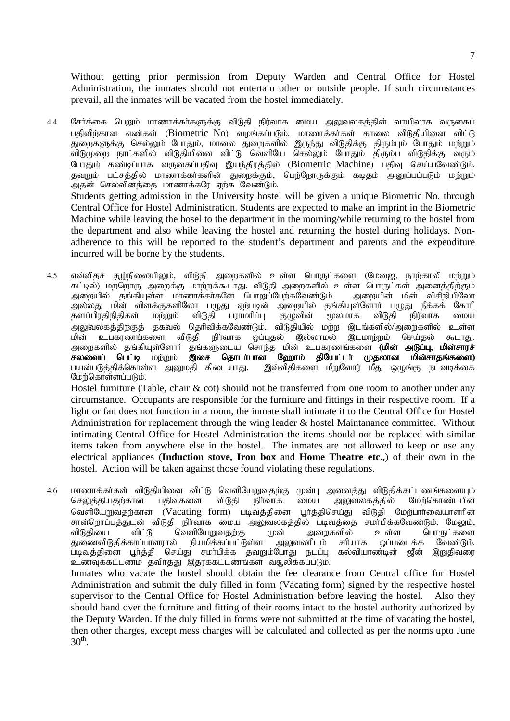Without getting prior permission from Deputy Warden and Central Office for Hostel Administration, the inmates should not entertain other or outside people. If such circumstances prevail, all the inmates will be vacated from the hostel immediately.

4.4 சேர்க்கை பெறும் மாணாக்கர்களுக்கு விடுதி நிர்வாக மைய அலுவலகத்தின் வாயிலாக வருகைப் பதிவிற்கான எண்கள் (Biometric No) வழங்கப்படும். மாணாக்கர்கள் காலை விடுதியினை விட்டு துறைகளுக்கு செல்லும் போதும், மாலை துறைகளில் இருந்து விடுதிக்கு திரும்பும் போதும் மற்றும் ்விடுமுறை நாட்களில் விடுதியினை விட்டு வெளியே செல்லும் போதும் திரும்ப விடுதிக்கு வரும் போதும் கண்டிப்பாக வருகைப்பதிவு இயந்திரத்தில் (Biometric Machine) பதிவு செய்யவேண்டும். தவறும் பட்சத்தில் மாணாக்கர்களின் துறைக்கும், பெற்றோருக்கும் கடிதம் அனுப்பப்படும் மற்றும் அதன் செலவினத்தை மாணாக்கரே ஏற்க வேண்டும். Students getting admission in the University hostel will be given a unique Biometric No. through Central Office for Hostel Administration. Students are expected to make an imprint in the Biometric Machine while leaving the hosel to the department in the morning/while returning to the hostel from the department and also while leaving the hostel and returning the hostel during holidays. Nonadherence to this will be reported to the student's department and parents and the expenditure incurred will be borne by the students.

4.5 எவ்விதச் சூழ்நிலையிலும், விடுதி அறைகளில் உள்ள பொருட்களை (மேஜை, நாற்காலி மற்றும் கட்டில்) மர்ளொரு அறைக்கு மாற்றக்கூடாது. விடுதி அறைகளில் உள்ள பொருட்கள் அனைத்திற்கும் அறையில் தங்கியுள்ள மாணாக்காகளே பொறுப்பேற்கவேண்டும். அறையின் மின் விசிறியிலோ அல்லது மின் விளக்குகளிலோ பழுது ஏற்படின் அறையில் தங்கியுள்ளோர் பழுது நீக்கக் கோரி<br>தளப்பிரதிநிதிகள் மற்றும் விடுதி பராமரிப்பு குழுவின் மூலமாக விடுதி நிர்வாக மைய தளப்பிரதிநிதிகள் மற்றும் விடுதி பராமரிப்பு குழுவின் மூலமாக விடுதி நிர்வாக மைய அலுவலகக்கிற்குக் தகவல் தெரிவிக்கவேண்டும். விடுதியில் மற்ற இடங்களில்/அறைகளில் உள்ள மின் உபகரணங்களை விடுதி நிர்வாக ஒப்புதல் இல்லாமல் இடமாற்றம் செய்தல் கூடாது. அறைகளில் தங்கியுள்ளோர் தங்களுடைய சொந்த மின் உபகரணங்களை (**மின் அடுப்பு, மின்சாரச்**<br>ச**லவைப் பெட்டி** மற்றும் **இசை தொடா்பான ஹோம் தியேட்டா் முதலான மின்சாதங்களை) சலவைப் பெட்டி** மற்றும் **இசை தொடா்பான ஹோம் தியேட்டா் முதலான மின்சாதங்களை)**<br>பயன்படுத்திக்கொள்ள அனுமதி கிடையாது. இவ்விதிகளை மீறுவோர் மீது ஒழுங்கு நடவடிக்கை இவ்விதிகளை மீறுவோர் மீது ஒழுங்கு நடவடிக்கை மேற்கொள்ளப்படும்.

Hostel furniture (Table, chair & cot) should not be transferred from one room to another under any circumstance. Occupants are responsible for the furniture and fittings in their respective room. If a light or fan does not function in a room, the inmate shall intimate it to the Central Office for Hostel Administration for replacement through the wing leader & hostel Maintanance committee. Without intimating Central Office for Hostel Administration the items should not be replaced with similar items taken from anywhere else in the hostel. The inmates are not allowed to keep or use any electrical appliances (**Induction stove, Iron box** and **Home Theatre etc.,**) of their own in the hostel. Action will be taken against those found violating these regulations.

4.6 மாணாக்கர்கள் விடுதியினை விட்டு வெளியேறுவதற்கு முன்பு அனைத்து விடுதிக்கட்டணங்களையும்<br>செலுத்தியதற்கான பதிவுகளை விடுதி நிர்வாக மைய அலுவலகத்தில் மேற்கொண்டபின் செலுத்தியதற்கான வெளியேறுவதற்கான (Vacating form) படிவத்தினை பூர்த்திசெய்து விடுதி மேற்பார்வையாளரின் சான்றொப்பத்துடன் விடுதி நிர்வாக மைய அலுவலகத்தில் படிவத்தை சமாபிக்கவேண்டும். மேலும், விடுதியை விட்டு வெளியேறுவதற்கு முன் அறைகளில் உள்ள பொருட்களை<br>துணைவிடுதிக்காப்பாளரால் நியமிக்கப்பட்டுள்ள அலுவலரிடம் சரியாக ஒப்படைக்க வேண்டும். துணைவிடுதிக்காப்பாளரால் நியமிக்கப்பட்டுள்ள அலுவலரிடம் சரியாக ஒப்படைக்க வேண்டும். படிவத்தினை பூர்த்தி செய்து சமா்பிக்க தவறும்போது நடப்பு கல்வியாண்டின் ஜீன் இறுதிவரை உணவுக்கட்டணம் தவிர்த்து இதரக்கட்டணங்கள் வசூலிக்கப்படும்.

 Inmates who vacate the hostel should obtain the fee clearance from Central office for Hostel Administration and submit the duly filled in form (Vacating form) signed by the respective hostel supervisor to the Central Office for Hostel Administration before leaving the hostel. Also they should hand over the furniture and fitting of their rooms intact to the hostel authority authorized by the Deputy Warden. If the duly filled in forms were not submitted at the time of vacating the hostel, then other charges, except mess charges will be calculated and collected as per the norms upto June  $30^{\text{th}}$ .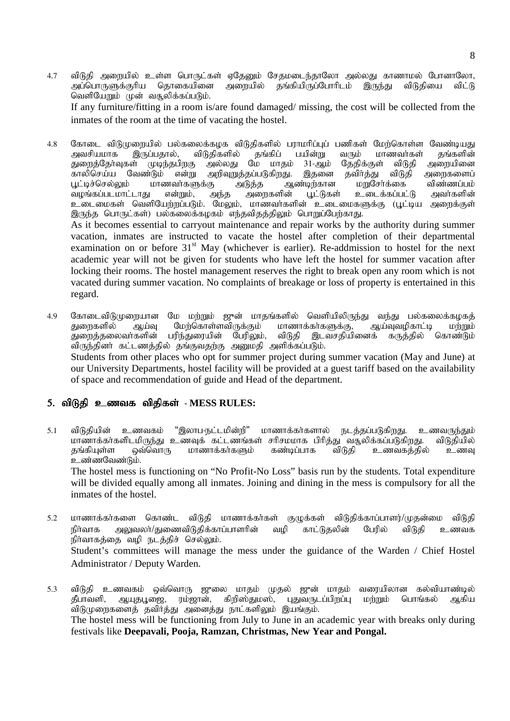- 4.7 விடுதி அறையில் உள்ள பொருட்கள் ஏதேனும் சேதமடைந்தாலோ அல்லது காணாமல் போனாலோ, அப்பொருளுக்குரிய தொகையினை அறையில் தங்கியிருப்போரிடம் இருந்து விடுதியை விட்டு, வெளியேறும் முன் வசூலிக்கப்படும். If any furniture/fitting in a room is/are found damaged/ missing, the cost will be collected from the inmates of the room at the time of vacating the hostel.
- 4.8 கோடை விடுமுறையில் பல்கலைக்கழக விடுதிகளில் பராமரிப்புப் பணிகள் மேற்கொள்ள வேண்டியது<br>அவசியமாக இருப்பதால், விடுதிகளில் தங்கிப் பயின்று வரும் மாணவர்கள் தங்களின் இருப்பதால், விடுதிகளில் தங்கிப் பயின்று வரும் மா<br>ள் முடிந்தபிறகு அல்லது மே மாதம் 31-ஆம் தேதிக்குள் துறைத்தேர்வுகள் முடிந்தபிறகு அல்லது மே மாதம் 31-ஆம் தேதிக்குள் விடுதி அறையினை<br>காலிசெய்ய வேண்டும் என்று அறிவுறுத்தப்படுகிறது. இதனை தவிர்த்து விடுதி அறைகளைப் காலிசெய்ய வேண்டும் என்று அறிவுறுத்தப்படுகிறது. இதனை தவிர்த்து விடு<sub>ச்</sub><br>பூட்டிச்செல்லும் மாணவாகளுக்கு அடுத்த அண்டிற்கான மறுசோ்க்கை .<br>மாணவாகளுக்கு அடுத்த ஆண்டிற்கான மறுசோக்கை விண்ணப்பம்<br>ப என்றும், அந்த அறைகளின் பூட்டுகள் உடைக்கப்பட்டு அவாகளின் வழங்கப்படமாட்டாது என்றும், அந்த உடைமைகள் வெளியேர்றப்படும். மேலும், மாணவர்களின் உடைமைகளுக்கு (பூட்டிய அளைக்குள் இருந்த பொருட்கள்) பல்கலைக்கழகம் எந்தவிதத்திலும் பொறுப்பேற்காது. As it becomes essential to carryout maintenance and repair works by the authority during summer vacation, inmates are instructed to vacate the hostel after completion of their departmental examination on or before  $31<sup>st</sup>$  May (whichever is earlier). Re-addmission to hostel for the next academic year will not be given for students who have left the hostel for summer vacation after

locking their rooms. The hostel management reserves the right to break open any room which is not vacated during summer vacation. No complaints of breakage or loss of property is entertained in this regard.

4.9 கோடைவிடுமுறையான மே மற்றும் ஜுன் மாதங்களில் வெளியிலிருந்து வந்து பல்கலைக்கழகத்<br>துரைகளில் ஆய்வு மேற்கொள்ளவிருக்கும் மாணாக்கர்களுக்கு, ஆய்வுவழிகாட்டி மற்றும் மேற்கொள்ளவிருக்கும் மாணாக்கா்களுக்கு, ஆய்வுவழிகாட்டி மற்றும்<br>ரிந்துரையின் பேரிலும், விடுதி இடவசதியினைக் கருத்தில் கொண்டும் துறைத்தலைவா்களின் பரிந்துரையின் பேரிலும், விடுதி இடவசதியினைக் கருத்தில் கொண்டும் விருந்தினா் கட்டணத்தில் தங்குவதற்கு அனுமதி அளிக்கப்படும். Students from other places who opt for summer project during summer vacation (May and June) at our University Departments, hostel facility will be provided at a guest tariff based on the availability of space and recommendation of guide and Head of the department.

#### 5. விடுதி உணவக விதிகள் - MESS RULES:

5.1 விடுதியின் உணவகம் "இலாப-நட்டமின்றி" மாணாக்கர்களால் நடத்தப்படுகிறது. உணவருந்தும் மாணாக்கா்களிடமிருந்து உணவுக் கட்டணங்கள் சாிசமமாக பிாித்து வசூலிக்கப்படுகிறது. விடுதியில்<br>தங்கியுள்ள ஒவ்வொரு மாணாக்கா்களும் கண்டிப்பாக விடுதி உணவகத்தில் உணவு மாணாக்கர்களும் கண்டிப்பாக விடுதி உணவகத்தில் உணவு உண்ணவேண்டும்.

The hostel mess is functioning on "No Profit-No Loss" basis run by the students. Total expenditure will be divided equally among all inmates. Joining and dining in the mess is compulsory for all the inmates of the hostel.

- 5.2 மாணாக்கர்களை கொண்ட விடுதி மாணாக்கர்கள் குழுக்கள் விடுதிக்காப்பாளர்/முதன்மை விடுதி நிர்வாக அலுவலர்/துணைவிடுதிக்காப்பாளரின் வழி காட்டுதலின் பேரில் விடுதி உணவக நிர்வாகத்தை வழி நடத்திச் செல்லும். Student's committees will manage the mess under the guidance of the Warden / Chief Hostel Administrator / Deputy Warden.
- 5.3 விடுதி உணவகம் ஒவ்வொரு ஜுலை மாதம் முதல் ஜுன் மாதம் வரையிலான கல்வியாண்டில் தீபாவளி, ஆயுதபூஜை, ரம்ஜான், கிறிஸ்துமஸ், புதுவருடப்பிறப்பு மற்றும் பொங்கல் ஆகிய விடுமுறைகளைத் தவிர்த்து அனைத்து நாட்களிலும் இயங்கும். The hostel mess will be functioning from July to June in an academic year with breaks only during festivals like **Deepavali, Pooja, Ramzan, Christmas, New Year and Pongal.**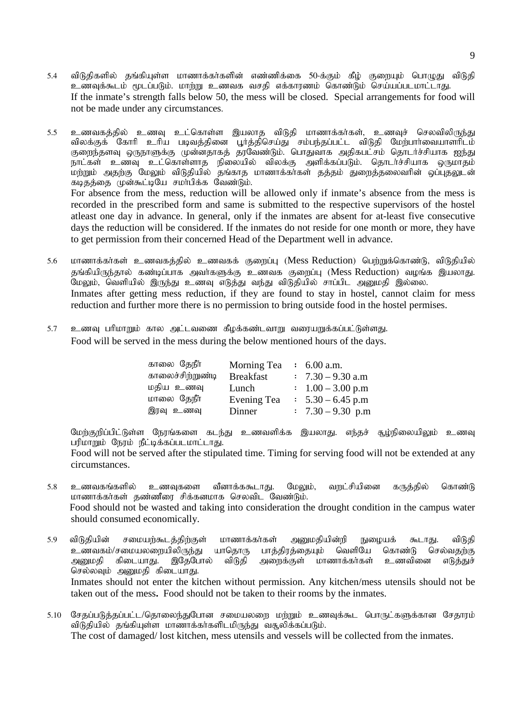5.4 விடுதிகளில் தங்கியுள்ள மாணாக்கர்களின் எண்ணிக்கை 50-க்கும் கீழ் குறையும் பொழுது விடுதி ்.<br>உணவுக்கூடம் மூடப்படும். மாற்று உணவக வசதி எக்காரணம் கொண்டும் செய்யப்படமாட்டாது. If the inmate's strength falls below 50, the mess will be closed. Special arrangements for food will not be made under any circumstances.

5.5 உணவகத்தில் உணவு உட்கொள்ள இயலாத விடுதி மாணாக்கர்கள், உணவுச் செலவிலிருந்து விலக்குக் கோரி உரிய படிவத்தினை பூர்த்திசெய்து சம்பந்தப்பட்ட விடுதி மேற்பார்வையாளரிடம் குறைந்தளவு ஒருநாளுக்கு முன்னதாகத் தரவேண்டும். பொதுவாக அதிகபட்சம் தொடர்ச்சியாக ஐந்து நாட்கள் உணவு உட்கொள்ளாத நிலையில் விலக்கு அளிக்கப்படும். தொடர்ச்சியாக ஒருமாதம் மற்றும் அதற்கு மேலும் விடுதியில் தங்காத மாணாக்கா்கள் தத்தம் துறைத்தலைவாின் ஒப்புதலுடன் கடிதத்தை முன்கூட்டியே சமர்பிக்க வேண்டும். For absence from the mess, reduction will be allowed only if inmate's absence from the mess is recorded in the prescribed form and same is submitted to the respective supervisors of the hostel atleast one day in advance. In general, only if the inmates are absent for at-least five consecutive days the reduction will be considered. If the inmates do not reside for one month or more, they have

- 5.6 மாணாக்கர்கள் உணவகத்தில் உணவகக் குறைப்பு (Mess Reduction) பெற்றுக்கொண்டு, விடுதியில் தங்கியிருந்தால் கண்டிப்பாக அவர்களுக்கு உணவக குரைப்பு (Mess Reduction) வழங்க இயலாது. .<br>மேலும், வெளியில் இருந்து உணவு எடுத்து வந்து விடுதியில் சாப்பிட அனுமதி இல்லை. Inmates after getting mess reduction, if they are found to stay in hostel, cannot claim for mess reduction and further more there is no permission to bring outside food in the hostel permises.
- 5.7 உணவு பரிமாறும் கால அட்டவணை கீழக்கண்டவாறு வரையறுக்கப்பட்டுள்ளது. Food will be served in the mess during the below mentioned hours of the days.

to get permission from their concerned Head of the Department well in advance.

| காலை தேநீர்      | Morning Tea        | $\pm 6.00$ a.m.              |
|------------------|--------------------|------------------------------|
| காலைச்சிற்றுண்டி | <b>Breakfast</b>   | $\therefore$ 7.30 - 9.30 a.m |
| மதிய உணவு        | Lunch              | $\therefore$ 1.00 – 3.00 p.m |
| மாலை தேநீர்      | <b>Evening Tea</b> | $\therefore$ 5.30 – 6.45 p.m |
| இரவு உணவு        | Dinner             | $\therefore$ 7.30 - 9.30 p.m |

மேர்குரிப்பிட்டுள்ள நேரங்களை கடந்து உணவளிக்க இயலாது. எந்தச் சூழ்நிலையிலும் உணவு பரிமாறும் நேரம் நீட்டிக்கப்படமாட்டாது.

Food will not be served after the stipulated time. Timing for serving food will not be extended at any circumstances.

- 5.8 <u>உ</u>ணவகங்களில் உணவுகளை வீனாக்ககூடாது. மேலும், வருட்சியினை கருத்தில் கொண்டு மாணாக்கர்கள் தண்ணீரை சிக்கனமாக செலவிட வேண்டும். Food should not be wasted and taking into consideration the drought condition in the campus water should consumed economically.
- 5.9 விடுதியின் சமையற்கூடத்திற்குள் மாணாக்கர்கள் அனுமதியின்றி நுழையக் கூடாது. விடுதி உணவகம்/சமையலறையிலிருந்து யாதொரு பாத்திரத்தையும் வெளியே கொண்டு செல்வதற்கு<br>அனுமதி கிடையாது. இதேபோல் விடுதி அறைக்குள் மாணாக்கர்கள் உணவினை எடுத்துச் அனுமதி கிடையாது. இதேபோல் விடுதி அறைக்குள் மாணாக்கா்கள் உணவினை எடுத்துச் செல்லவும் அனுமதி கிடையாது. Inmates should not enter the kitchen without permission. Any kitchen/mess utensils should not be taken out of the mess**.** Food should not be taken to their rooms by the inmates.
- 5.10 சேதப்படுத்தப்பட்ட/தொலைந்துபோன சமையலறை மற்றும் உணவுக்கூட பொருட்களுக்கான சேதாரம் விடுதியில் தங்கியுள்ள மாணாக்கர்களிடமிருந்து வசூலிக்கப்படும். The cost of damaged/ lost kitchen, mess utensils and vessels will be collected from the inmates.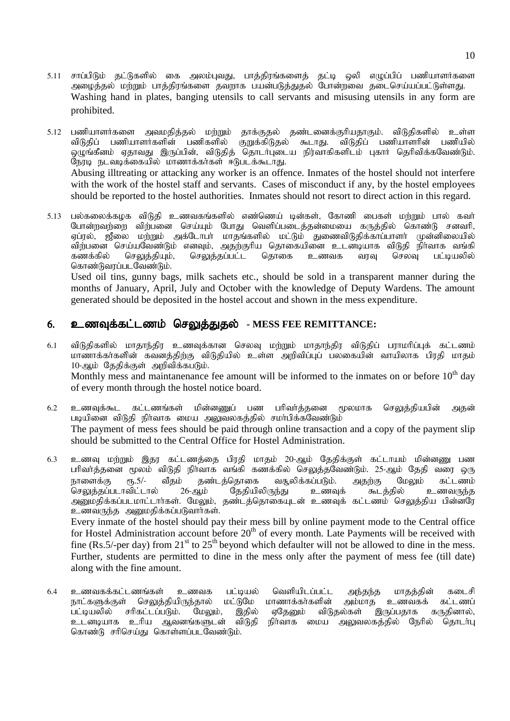- 5.11 சாப்பிடும் தட்டுகளில் கை அலம்புவது, பாத்திரங்களைத் தட்டி ஒலி எழுப்பிப் பணியாளர்களை அழைத்தல் மற்றும் பாத்திரங்களை தவறாக பயன்படுத்துதல் போன்றவை தடைசெய்யப்பட்டுள்ளது. Washing hand in plates, banging utensils to call servants and misusing utensils in any form are prohibited.
- 5.12 பணியாளர்களை அவமதித்தல் மற்றும் தாக்குதல் தண்டனைக்குரியதாகும். விடுதிகளில் உள்ள விடுதிப் பணியாளர்களின் பணிகளில் குறுக்கிடுதல் கூடாது. விடுதிப் பணியாளரின் பணியில் ஒழுங்கீனம் ஏதாவது இருப்பின், விடுதித் தொடர்புடைய நிர்வாகிகளிடம் புகார் தெரிவிக்கவேண்டும். நேரடி நடவடிக்கையில் மாணாக்கர்கள் ஈடுபடக்கூடாது. Abusing illtreating or attacking any worker is an offence. Inmates of the hostel should not interfere with the work of the hostel staff and servants. Cases of misconduct if any, by the hostel employees should be reported to the hostel authorities. Inmates should not resort to direct action in this regard.
- 5.13 பல்கலைக்கழக விடுதி உணவகங்களில் எண்ணெய் டின்கள், கோணி பைகள் மர்றும் பால் கவர் போன்றவற்றை விற்பனை செய்யும் போது வெளிப்படைத்தன்மையை கருத்தில் கொண்டு சனவரி, ஏப்ரல், ஜீலை மற்றும் அக்டோபா் மாதங்களில் மட்டும் துணைவிடுதிக்காப்பாளா் முன்னிலையில் விற்பனை செய்யவேண்டும் எனவும், அதற்குரிய தொகையினை உடனடியாக விடுதி நிர்வாக வங்கி<br>கணக்கில் செலுத்தியும், செலுத்தப்பட்ட தொகை உணவக வரவு செலவு பட்டியலில் செலுத்தப்பட்ட தொகை உணவக வரவு செலவு பட்டியலில் கொண்டுவரப்படவேண்டும்.

 Used oil tins, gunny bags, milk sachets etc., should be sold in a transparent manner during the months of January, April, July and October with the knowledge of Deputy Wardens. The amount generated should be deposited in the hostel accout and shown in the mess expenditure.

### 6. உணவுக்கட்டணம் செலுக்துகல் - MESS FEE REMITTANCE:

6.1 விடுதிகளில் மாதாந்திர உணவுக்கான செலவு மற்றும் மாதாந்திர விடுதிப் பராமரிப்புக் கட்டணம் மாணாக்கர்களின் கவனத்திற்கு விடுதியில் உள்ள அறிவிப்புப் பலகையின் வாயிலாக பிரதி மாதம் 10-ஆம் தேதிக்குள் அறிவிக்கபடும். Monthly mess and maintanenance fee amount will be informed to the inmates on or before  $10<sup>th</sup>$  day

of every month through the hostel notice board.

- 6.2 உணவுக்கூட கட்டணங்கள் மின்னணுப் பண பரிவர்க்கனை மூலமாக செலுக்கியபின் அகன் படியினை விடுதி நிர்வாக மைய அலுவலகத்தில் சமர்பிக்கவேண்டும் The payment of mess fees should be paid through online transaction and a copy of the payment slip should be submitted to the Central Office for Hostel Administration.
- 6.3 உணவு மற்றும் இதர கட்டணத்தை பிரதி மாதம் 20-ஆம் தேதிக்குள் கட்டாயம் மின்னணு பண பரிவாத்தனை மூலம் விடுதி நிா்வாக வங்கி கணக்கில் செலுத்தவேண்டும். 25-ஆம் தேதி வரை ஒரு நாளைக்கு ரூ.5/- வீதம் கண்டக்கொகை வசூலிக்கப்படும். அகற்கு மேலும் கட்டணம் செலுத்தப்படாவிட்டால் 26-ஆம் தேதியிலிருந்து உணவுக் கூடத்தில் உணவருந்த அனுமதிக்கப்படமாட்டாா்கள். மேலும், தண்டத்தொகையுடன் உணவுக் கட்டணம் செலுத்திய பின்னரே உணவருந்த அனுமதிக்கப்படுவார்கள். Every inmate of the hostel should pay their mess bill by online payment mode to the Central office for Hostel Administration account before  $20<sup>th</sup>$  of every month. Late Payments will be received with fine (Rs.5/-per day) from  $21<sup>st</sup>$  to  $25<sup>th</sup>$  beyond which defaulter will not be allowed to dine in the mess. Further, students are permitted to dine in the mess only after the payment of mess fee (till date) along with the fine amount.
- 6.4 உணவகக்கட்டணங்கள் உணவக பட்டியல் வெளியிடப்பட்ட அந்தந்த மாதத்தின் கடைசி நாட்களுக்குள் செலுத்தியிருந்தால் மட்டுமே மாணாக்கா்களின் அம்மாத உணவகக் கட்டணப்<br>பட்டியலில் சாிகட்டப்படும். மேலும், இதில் ஏதேனும் விடுதல்கள் இருப்பதாக கருதினால், சரிகட்டப்படும். மேலும், இதில் ஏதேனும் விடுதல்கள் இருப்பதாக கருதினால்,<br>உரிய ஆவனங்களுடன் விடுதி நிர்வாக மைய அலுவலகத்தில் நேரில் கொடர்பு உடனடியாக உரிய ஆவனங்களுடன் விடுதி நிர்வாக மைய அலுவலகத்தில் நேரில் தொடர்பு கொண்டு சரிசெய்து கொள்ளப்படவேண்டும்.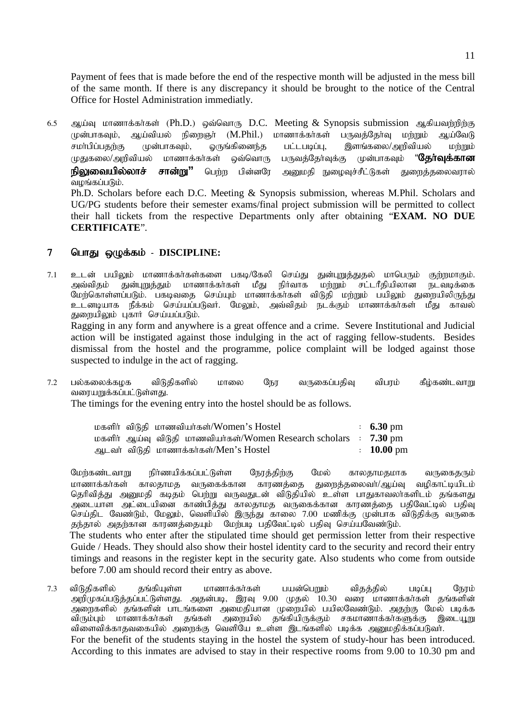Payment of fees that is made before the end of the respective month will be adjusted in the mess bill of the same month. If there is any discrepancy it should be brought to the notice of the Central Office for Hostel Administration immediatly.

6.5 ஆய்வு மாணாக்கர்கள் (Ph.D.) ஒவ்வொரு D.C. Meeting & Synopsis submission ஆகியவற்றிற்கு முன்பாகவும், ஆய்வியல் நிறைஞர் (M.Phil.) மாணாக்கர்கள் பருவத்தேர்வு மற்றும் ஆய்வேடு சமா்பிப்பதற்கு முன்பாகவும், ஒருங்கினைந்த பட்டபடிப்பு, இளங்கலை/அறிவியல் மற்றும் முதுகலை/அறிவியல் மாணாக்கர்கள் ஒவ்வொரு பருவத்தேர்வுக்கு முன்பாகவும் "**தேர்வுக்கான நிலுவையில்லாச் சான்று''** பெற்ற பின்னரே அனுமதி நுழைவுச்சீட்டுகள் துறைத்தலைவரால் வழங்கப்படும். Ph.D. Scholars before each D.C. Meeting & Synopsis submission, whereas M.Phil. Scholars and UG/PG students before their semester exams/final project submission will be permitted to collect their hall tickets from the respective Departments only after obtaining "**EXAM. NO DUE** 

#### 7 பொது ஒழுக்கம் - DISCIPLINE:

**CERTIFICATE**".

7.1 உடன் பயிலும் மாணாக்கர்கள்களை பகடி/கேலி செய்து துன்புறுத்துதல் மாபெரும் குற்றமாகும்.<br>அவ்விதம் துன்புறுத்தும் மாணாக்கர்கள் மீது நிர்வாக மற்றும் சட்டரீதியிலான நடவடிக்கை சட்டரீதியிலான மேற்கொள்ளப்படும். பகடிவதை செய்யும் மாணாக்கா்கள் விடுதி மற்றும் பயிலும் துறையிலிருந்து ்டனடியாக நீக்கம் செய்யப்படுவர். மேலும், அவ்விதம் நடக்கும் மாணாக்கர்கள் மீது காவல் துறையிலும் புகார் செய்யப்படும்.

Ragging in any form and anywhere is a great offence and a crime. Severe Institutional and Judicial action will be instigated against those indulging in the act of ragging fellow-students. Besides dismissal from the hostel and the programme, police complaint will be lodged against those suspected to indulge in the act of ragging.

 $7.2$  பல்கலைக்கழக விடுதிகளில் மாலை நேர வருகைப்பதிவு விபரம் கீழ்கண்டவாறு வரையறுக்கப்பட்டுள்ளது.

The timings for the evening entry into the hostel should be as follows.

|  | மகளிர் விடுதி மாணவியர்கள்/Women's Hostel                                     | $\pm 6.30 \text{ pm}$ |
|--|------------------------------------------------------------------------------|-----------------------|
|  | மகளிர் ஆய்வு விடுதி மாணவியர்கள்/Women Research scholars $\;$ : $\;7.30\;$ pm |                       |
|  | ஆடவர் விடுதி மாணாக்கர்கள்/Men's Hostel                                       | $\therefore$ 10.00 pm |

மேற்கண்டவாறு நிர்ணயிக்கப்பட்டுள்ள நேரத்திற்கு மேல் காலதாமதமாக வருகைதரும் .<br>மாணாக்கர்கள் காலதாமத வருகைக்கான காரணத்தை துறைத்தலைவர்/ஆய்வு வழிகாட்டியிடம் தெரிவிக்கு அமைகி கடிகம் பெற்று வருவகுடன் விடுகியில் உள்ள பாகுகாவலர்களிடம் கங்களது ்.<br>அடையாள அட்டையினை காண்பிக்கு காலதாமத வருகைக்கான காரணக்கை பதிவேட்டில் பதிவு .<br>செய்திட வேண்டும், மேலும், வெளியில் இருந்து காலை 7.00 மணிக்கு முன்பாக விடுதிக்கு வருகை தந்தால் அதற்கான காரணத்தையும் மேற்படி பதிவேட்டில் பதிவு செய்யவேண்டும். The students who enter after the stipulated time should get permission letter from their respective Guide / Heads. They should also show their hostel identity card to the security and record their entry timings and reasons in the register kept in the security gate. Also students who come from outside before 7.00 am should record their entry as above.

7.3 விடுதிகளில் தங்கியுள்ள மாணாக்கர்கள் பயன்பெறும் விதத்தில் படிப்பு நேரம் அறிமுகப்படுக்கப்பட்டுள்ளது. அதன்படி, இரவு 9.00 முதல்  $10.30$  வரை மாணாக்காகள் தங்களின் அறைகளில் தங்களின் பாடங்களை அமைதியான முறையில் பயிலவேண்டும். அகற்கு மேல் படிக்க விரும்பும் மாணாக்கா்கள் தங்கள் அறையில் தங்கியிருக்கும் சகமாணாக்கா்களுக்கு இடையூறு விளைவிக்காதவகையில் அறைக்கு வெளியே உள்ள இடங்களில் படிக்க அனுமதிக்கப்படுவா். For the benefit of the students staying in the hostel the system of study-hour has been introduced. According to this inmates are advised to stay in their respective rooms from 9.00 to 10.30 pm and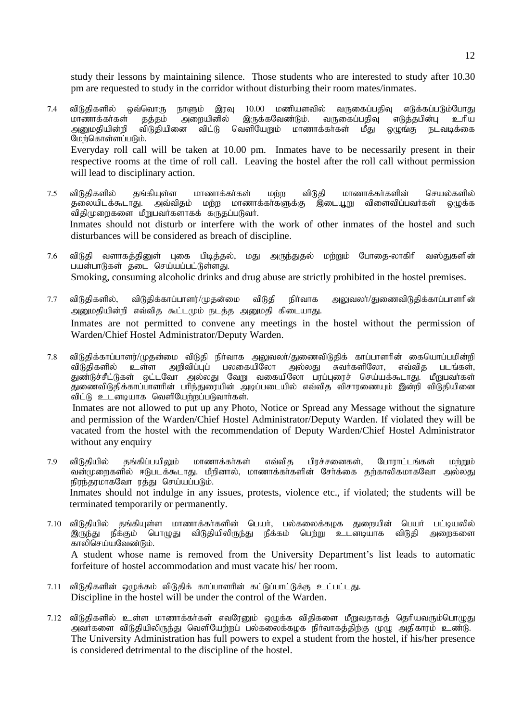study their lessons by maintaining silence. Those students who are interested to study after 10.30 pm are requested to study in the corridor without disturbing their room mates/inmates.

- 7.4 விடுதிகளில் ஒவ்வொரு நாளும் இரவு 10.00 மணியளவில் வருகைப்பதிவு எடுக்கப்படும்போது<br>மாணாக்கர்கள் தத்தம் அறையினில் இருக்கவேண்டும். வருகைப்பதிவு எடுத்தபின்பு உரிய மாணாக்கா்கள் தத்தம் அறையினில் இருக்கவேண்டும். வருகைப்பதிவு எடுத்தபின்பு உரிய<br>அனுமதியின்றி விடுதியினை விட்டு வெளியேறும் மாணாக்கா்கள் மீது ஒழுங்கு நடவடிக்கை மீது ஒழுங்கு நடவடிக்கை மேர்கொள்ளப்படும். Everyday roll call will be taken at 10.00 pm. Inmates have to be necessarily present in their respective rooms at the time of roll call. Leaving the hostel after the roll call without permission will lead to disciplinary action.
- 7.5 விடுதிகளில் தங்கியுள்ள மாணாக்கர்கள் மற்ற விடுதி மாணாக்கர்களின் செயல்களில்<br>தலையிடக்கூடாது. அவ்விதம் மற்ற மாணாக்கர்களுக்கு இடையூறு விளைவிப்பவர்கள் ஒழுக்க ்.<br>தலையிடக்கூடாது. அவ்விதம் மற்ற மாணாக்கர்களுக்கு .<br>விதிமுறைகளை மீறுபவர்களாகக் கருதப்படுவர். Inmates should not disturb or interfere with the work of other inmates of the hostel and such disturbances will be considered as breach of discipline.
- 7.6 விடுதி வளாகத்தினுள் புகை பிடித்தல், மது அருந்துதல் மற்றும் போதை-லாகிரி வஸ்துகளின் பயன்பாடுகள் தடை செய்யப்பட்டுள்ளது. Smoking, consuming alcoholic drinks and drug abuse are strictly prohibited in the hostel premises.
- 7.7 விடுதிகளில், விடுதிக்காப்பாளர்/முதன்மை விடுதி நிர்வாக அலுவலர்/துணைவிடுதிக்காப்பாளரின் அனுமதியின்றி எவ்வித கூட்டமும் நடத்த அனுமதி கிடையாது. Inmates are not permitted to convene any meetings in the hostel without the permission of Warden/Chief Hostel Administrator/Deputy Warden.
- 7.8 விடுதிக்காப்பாளர்/முதன்மை விடுதி நிர்வாக அலுவலர்/துணைவிடுதிக் காப்பாளரின் கையொப்பமின்றி விடுதிகளில் உள்ள அறிவிப்புப் பலகையிலோ அல்லது சுவர்களிலோ, எவ்வித படங்கள், துண்டுச்சீட்டுகள் ஒட்டவோ அல்லது வேறு வகையிலோ பரப்புரைச் செய்யக்கூடாது. மீறுபவர்கள் துணைவிடுதிக்காப்பாளரின் பரிந்துரையின் அடிப்படையில் எவ்வித விசாரணையும் இன்றி விடுதியினை விட்டு உடனடியாக வெளியேற்றப்படுவார்கள். ! Inmates are not allowed to put up any Photo, Notice or Spread any Message without the signature

and permission of the Warden/Chief Hostel Administrator/Deputy Warden. If violated they will be vacated from the hostel with the recommendation of Deputy Warden/Chief Hostel Administrator without any enquiry

- 7.9 விடுதியில் தங்கிப்பயிலும் மாணாக்கர்கள் எவ்வித பிரச்சனைகள், போராட்டங்கள் மற்றும் வன்முறைகளில் ஈடுபடக்கூடாது. மீறினால், மாணாக்கா்களின் சோ்க்கை தற்காலிகமாகவோ அல்லது நிரந்தரமாகவோ ரத்து செய்யப்படும். Inmates should not indulge in any issues, protests, violence etc., if violated; the students will be terminated temporarily or permanently.
- 7.10 விடுதியில் தங்கியுள்ள மாணாக்கர்களின் பெயர், பல்கலைக்கழக துறையின் பெயர் பட்டியலில்<br>இருந்து நீக்கும் பொமுது விடுதியிலிருந்து நீக்கம் பெற்று உடனடியாக விடுதி அளைகளை ்பொழுது விடுதியிலிருந்து நீக்கம் பெற்று உடனடியாக விடுதி அரைகளை காலிசெய்யவேண்டும். A student whose name is removed from the University Department's list leads to automatic forfeiture of hostel accommodation and must vacate his/ her room.
- 7.11 விடுதிகளின் ஒழுக்கம் விடுதிக் காப்பாளரின் கட்டுப்பாட்டுக்கு உட்பட்டது. Discipline in the hostel will be under the control of the Warden.
- 7.12 விடுதிகளில் உள்ள மாணாக்கர்கள் எவரேனும் ஒழுக்க விதிகளை மீறுவதாகத் தெரியவரும்பொழுது அவர்களை விடுதியிலிருந்து வெளியேற்றப் பல்கலைக்கழக நிர்வாகத்திற்கு முழு அதிகாரம் உண்டு. The University Administration has full powers to expel a student from the hostel, if his/her presence is considered detrimental to the discipline of the hostel.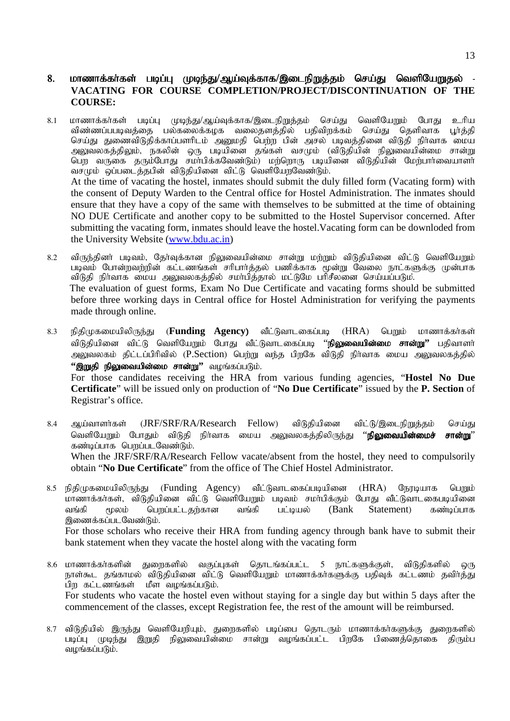#### 8. மாணாக்கா்கள் படிப்பு முடிந்து/ஆய்வுக்காக/இடைநிறுத்தம் செய்து வெளியேறுதல் -**VACATING FOR COURSE COMPLETION/PROJECT/DISCONTINUATION OF THE COURSE:**

- 8.1 மாணாக்கா்கள் படிப்பு முடிந்து/ஆய்வுக்காக/இடைநிறுத்தம் செய்து வெளியேறும் போது உரிய விண்ணப்பபடிவத்தை பல்கலைக்கழக வலைதளத்தில் பதிவிறக்கம் செய்து தெளிவாக பூர்த்தி செய்து துணைவிடுதிக்காப்பளரிடம் அனுமதி பெற்ற பின் அசல் படிவத்தினை விடுதி நிர்வாக மைய அலுவலகத்திலும், நகலின் ஒரு படியினை தங்கள் வசமும் (விடுதியின் நிலுவையின்மை சான்று பெற வருகை தரும்போது சமாபிக்கவேண்டும்) மற்றொரு படியினை விடுதியின் மேற்பாாவையாளா வசமும் ஒப்படைத்தபின் விடுதியினை விட்டு வெளியோவேண்டும். At the time of vacating the hostel, inmates should submit the duly filled form (Vacating form) with the consent of Deputy Warden to the Central office for Hostel Administration. The inmates should ensure that they have a copy of the same with themselves to be submitted at the time of obtaining NO DUE Certificate and another copy to be submitted to the Hostel Supervisor concerned. After submitting the vacating form, inmates should leave the hostel.Vacating form can be downloded from the University Website (www.bdu.ac.in)
- 8.2 விருந்தினர் படிவும், கேர்வுக்கான நிலுவையின்மை சான்று மற்றும் விடுதியினை விட்டு வெளியோும் படிவம் போன்றவற்றின் கட்டணங்கள் சரிபார்த்தல் பணிக்காக மூன்று வேலை நாட்களுக்கு முன்பாக ்விடுதி நிர்வாக மைய அலுவலகத்தில் சமா்பித்தால் மட்டுமே பாிசீலனை செய்யப்படும். The evaluation of guest forms, Exam No Due Certificate and vacating forms should be submitted before three working days in Central office for Hostel Administration for verifying the payments made through online.
- 8.3 நிதிமுகமையிலிருந்து (**Funding Agency)** வீட்டுவாடகைப்படி (HRA) பெறும் மாணாக்கர்கள் விடுகியினை விட்டு வெளியேறும் போது வீட்டுவாடகைப்படி ''**நிலுவையின்மை சான்று''** பகிவாளர் அலுவலகம் திட்டப்பிரிவில் (P.Section) பெற்று வந்த பிறகே விடுதி நிர்வாக மைய அலுவலகத்தில் **"இறுதி நிலுவையின்மை சான்று"** வழங்கப்படும். For those candidates receiving the HRA from various funding agencies, "**Hostel No Due Certificate**" will be issued only on production of "**No Due Certificate**" issued by the **P. Section** of Registrar's office.
- 8.4 ஆய்வாளர்கள் (JRF/SRF/RA/Research Fellow) விடுதியினை விட்டு/இடைநிறுத்தம் செய்து வெளியேறும் போதும் விடுதி நிர்வாக மைய அலுவலகத்திலிருந்து ''**நிலுவையின்மைச் சான்று**'' கண்டிப்பாக பெறப்படவேண்டும். When the JRF/SRF/RA/Research Fellow vacate/absent from the hostel, they need to compulsorily obtain "**No Due Certificate**" from the office of The Chief Hostel Administrator.
- 8.5 நிதிமுகமையிலிருந்து (Funding Agency) வீட்டுவாடகைப்படியினை (HRA) நேரடியாக பெறும் .<br>மாணாக்கா்கள், விடுதியினை விட்டு வெளியேறும் படிவம் சமா்பிக்கும் போது வீட்டுவாடகைபடியினை வங்கி மூலம் பெறப்பட்டதற்கான வங்கி பட்டியல் (Bank Statement) கண்டிப்பாக இணைக்கப்படவேண்டும். For those scholars who receive their HRA from funding agency through bank have to submit their bank statement when they vacate the hostel along with the vacating form
- 8.6 மாணாக்கர்களின் துரைகளில் வகுப்புகள் தொடங்கப்பட்ட 5 நாட்களுக்குள், விடுதிகளில் ஒரு நாள்கூட தங்காமல் விடுதியினை விட்டு வெளியேறும் மாணாக்கா்களுக்கு பதிவுக் கட்டணம் தவிா்த்து பிற கட்டணங்கள் மீள வழங்கப்படும். For students who vacate the hostel even without staying for a single day but within 5 days after the commencement of the classes, except Registration fee, the rest of the amount will be reimbursed.
- 8.7 விடுதியில் இருந்து வெளியேறியும், துறைகளில் படிப்பை தொடரும் மாணாக்கா்களுக்கு துறைகளில் படிப்பு முடிந்து இறுதி நிலுவையின்மை சான்று வழங்கப்பட்ட பிறகே பிணைத்தொகை திரும்ப வழங்கப்படும்.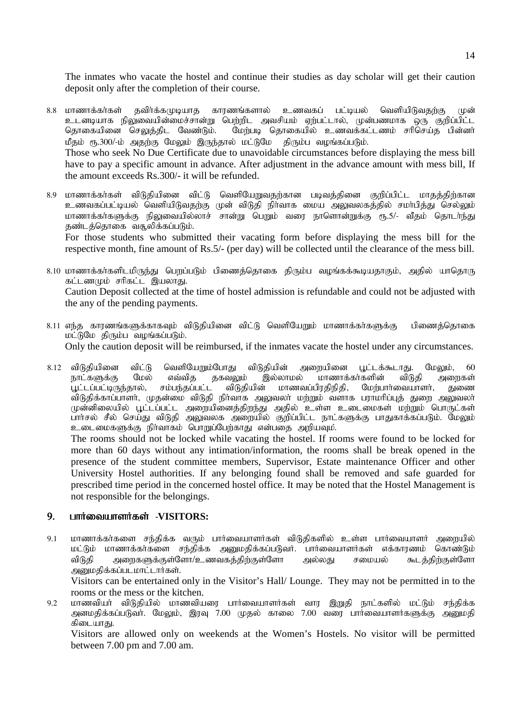The inmates who vacate the hostel and continue their studies as day scholar will get their caution deposit only after the completion of their course.

- 8.8 மாணாக்கர்கள் கவிர்க்கமுடியாக காரணங்களால் உணவகப் பட்டியல் வெளியிடுவகர்கு முன் உடனடியாக நிலுவையின்மைச்சான்று பெற்றிட அவசியம் ஏற்பட்டால், முன்பணமாக ஒரு குறிப்பிட்ட தொகையினை செலுத்திட வேண்டும். மேற்படி தொகையில் உணவக்கட்டணம் சரிசெய்த பின்னர் மீதம் ரூ.300/-ம் அதற்கு மேலும் இருந்தால் மட்டுமே திரும்ப வழங்கப்படும். Those who seek No Due Certificate due to unavoidable circumstances before displaying the mess bill have to pay a specific amount in advance. After adjustment in the advance amount with mess bill, If the amount exceeds Rs.300/- it will be refunded.
- 8.9 மாணாக்கர்கள் விடுதியினை விட்டு வெளியேறுவதற்கான படிவத்தினை குறிப்பிட்ட மாதத்திற்கான உணவகப்பட்டியல் வெளியிடுவதற்கு முன் விடுதி நிர்வாக மைய அலுவலகத்தில் சமா்பித்து செல்லும் மாணாக்கா்களுக்கு நிலுவையில்லாச் சான்று பெறும் வரை நாளொன்றுக்கு ரூ.5/- வீதம் தொடா்ந்து தண்டத்தொகை வசூலிக்கப்படும். For those students who submitted their vacating form before displaying the mess bill for the

respective month, fine amount of Rs.5/- (per day) will be collected until the clearance of the mess bill.

- $8.10$  மாணாக்கர்களிடமிருந்து பொப்படும் பிணைக்கொகை கிரும்ப வமங்கக்கூடியதாகும். அகில் யாகொரு கட்டணமும் சரிகட்ட இயலாது. Caution Deposit collected at the time of hostel admission is refundable and could not be adjusted with the any of the pending payments.
- 8.11 எந்த காரணங்களுக்காகவும் விடுதியினை விட்டு வெளியோும் மாணாக்கர்களுக்கு பிணைக்கொகை  $\overline{D}$ Only the caution deposit will be reimbursed, if the inmates vacate the hostel under any circumstances.
- 8.12 விடுதியினை விட்டு வெளியேறும்போது விடுதியின் அறையினை பூட்டக்கூடாது. மேலும், 60<br>நாட்களுக்கு மேல் எவ்வித தகவலும் இல்லாமல் மாணாக்கர்களின் விடுதி அரைகள் நாட்களுக்கு மேல் எவ்வித தகவலும் இல்லாமல் மாணாக்கா்களின் விடுதி அறைகள்<br>பூட்டப்பட்டிருந்தால், சம்பந்தப்பட்ட விடுதியின் மாணவப்பிரதிநிதி, மேற்பாா்வையாளா், துணை .<br>பூட்டப்பட்டிருந்தால், சம்பந்தப்பட்ட விடுதியின் மாணவப்பிரதிநிதி, மேற்பார்வையாளா், துணை .<br>விடுதிக்காப்பாளா், முதன்மை விடுதி நிா்வாக அலுவலா் மற்றும் வளாக பராமாிப்புத் துறை அலுவலா் முன்னிலையில் பூட்டப்பட்ட அறையினைத்திறந்து அதில் உள்ள உடைமைகள் மற்றும் பொருட்கள் பார்சல் சீல் செய்து விடுதி அலுவலக அறையில் குறிப்பிட்ட நாட்களுக்கு பாதுகாக்கப்படும். மேலும் உடைமைகளுக்கு நிர்வாகம் பொறுப்பேற்காது என்பதை அறியவும்.

The rooms should not be locked while vacating the hostel. If rooms were found to be locked for more than 60 days without any intimation/information, the rooms shall be break opened in the presence of the student committee members, Supervisor, Estate maintenance Officer and other University Hostel authorities. If any belonging found shall be removed and safe guarded for prescribed time period in the concerned hostel office. It may be noted that the Hostel Management is not responsible for the belongings.

#### 9. பார்வையாளர்கள் -VISITORS:

9.1 மாணாக்கர்களை சந்திக்க வரும் பார்வையாளர்கள் விடுதிகளில் உள்ள பார்வையாளர் அறையில் மட்டும் மாணாக்கர்களை சந்திக்க அனுமதிக்கப்படுவர். பார்வையாளர்கள் எக்காரணம் கொண்டும் விடுதி அறைகளுக்குள்ளோ/உணவகத்திற்குள்ளோ அல்லது சமையல் கூடத்திற்குள்ளோ அமைகிக்கப்படமாட்டார்கள்.

Visitors can be entertained only in the Visitor's Hall/ Lounge. They may not be permitted in to the rooms or the mess or the kitchen.

9.2 மாணவியா் விடுதியில் மாணவியரை பாா்வையாளா்கள் வார இறுதி நாட்களில் மட்டும் சந்திக்க அளமதிக்கப்படுவா். மேலும், இரவு 7.00 முதல் காலை 7.00 வரை பாா்வையாளா்களுக்கு அனுமதி கிடையாது.

Visitors are allowed only on weekends at the Women's Hostels. No visitor will be permitted between 7.00 pm and 7.00 am.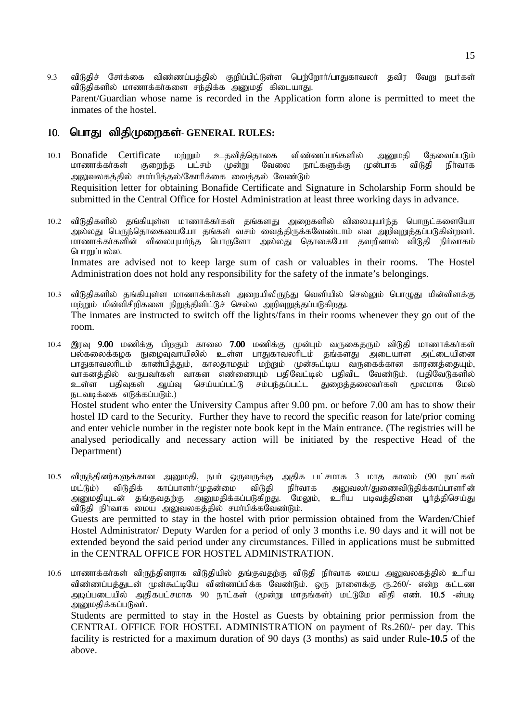9.3 விடுதிச் சேர்க்கை விண்ணப்பத்தில் குறிப்பிட்டுள்ள பெற்றோர்/பாதுகாவலர் தவிர வேறு நபர்கள் விடுதிகளில் மாணாக்கர்களை சந்திக்க அனுமதி கிடையாது. Parent/Guardian whose name is recorded in the Application form alone is permitted to meet the inmates of the hostel.

## 10. பொது விதிமுறைகள்- GENERAL RULES:

above.

- 10.1 Bonafide Certificate மற்றும் உதவிக்கொகை விண்ணப்பங்களில் அமைதி கேவைப்படும் மாணாக்கா்கள் குறைந்த பட்சம் முன்று வேலை நாட்களுக்கு முன்பாக விடுதி நிா்வாக அலுவலகத்தில் சமா்பித்தல்/கோரிக்கை வைத்தல் வேண்டும் Requisition letter for obtaining Bonafide Certificate and Signature in Scholarship Form should be submitted in the Central Office for Hostel Administration at least three working days in advance.
- 10.2 விடுதிகளில் தங்கியுள்ள மாணாக்கர்கள் தங்களது அறைகளில் விலையுயர்ந்த பொருட்களையோ அல்லது பெருந்தொகையையோ தங்கள் வசம் வைத்திருக்கவேண்டாம் என அறிவுறுத்தப்படுகின்றனர். மாணாக்கா்களின் விலையுயா்ந்த பொருளோ அல்லது தொகையோ தவறினால் விடுதி நிா்வாகம் பொறுப்பல்ல. Inmates are advised not to keep large sum of cash or valuables in their rooms. The Hostel Administration does not hold any responsibility for the safety of the inmate's belongings.
- 10.3 விடுதிகளில் தங்கியுள்ள மாணாக்கர்கள் அறையிலிருந்து வெளியில் செல்லும் பொழுது மின்விளக்கு மற்றும் மின்விசிறிகளை நிறுத்திவிட்டுச் செல்ல அறிவுறுத்தப்படுகிறது. The inmates are instructed to switch off the lights/fans in their rooms whenever they go out of the room.
- 10.4 இரவு 9.00 மணிக்கு பிறகும் காலை 7.00 மணிக்கு முன்பும் வருகைதரும் விடுதி மாணாக்கர்கள் பல்கலைக்கழக நுழைவுவாயிலில் உள்ள பாதுகாவலரிடம் தங்களது அடையாள அட்டையினை பாதுகாவலரிடம் காண்பித்தும், காலதாமதம் மற்றும் முன்கூட்டிய வருகைக்கான காரணத்தையும், வாகனத்தில் வருபவா்கள் வாகன எண்ணையும் பதிவேட்டில் பதிவிட வேண்டும். (பதிவேடுகளில்<br>உள்ள பதிவுகள் ஆய்வு செய்யப்பட்டு சம்பந்தப்பட்ட துறைத்தலைவா்கள் மூலமாக மேல் செய்யப்பட்டு சம்பந்தப்பட்ட துறைத்தலைவர்கள் மூலமாக மேல் நடவடிக்கை எடுக்கப்படும்.) Hostel student who enter the University Campus after 9.00 pm. or before 7.00 am has to show their

hostel ID card to the Security. Further they have to record the specific reason for late/prior coming and enter vehicle number in the register note book kept in the Main entrance. (The registries will be analysed periodically and necessary action will be initiated by the respective Head of the Department)

- 10.5 விருந்தினர்களுக்கான அனுமதி, நபர் ஒருவருக்கு அதிக பட்சமாக 3 மாத காலம் (90 நாட்கள் மட்டும்) விடுதிக் காப்பாளர்/முதன்மை விடுதி நிர்வாக அலுவலர்/துணைவிடுதிக்காப்பாளரின் அனுமதியுடன் தங்குவதற்கு அனுமதிக்கப்படுகிறது. மேலும், உரிய படிவத்தினை பூர்த்திசெய்து விடுதி நிர்வாக மைய அலுவலகத்தில் சமா்பிக்கவேண்டும். Guests are permitted to stay in the hostel with prior permission obtained from the Warden/Chief Hostel Administrator/ Deputy Warden for a period of only 3 months i.e. 90 days and it will not be extended beyond the said period under any circumstances. Filled in applications must be submitted in the CENTRAL OFFICE FOR HOSTEL ADMINISTRATION.
- 10.6 மாணாக்கர்கள் விருந்தினராக விடுதியில் தங்குவதற்கு விடுதி நிர்வாக மைய அலுவலகத்தில் உரிய விண்ணப்பத்துடன் முன்கூட்டியே விண்ணப்பிக்க வேண்டும். ஒரு நாளைக்கு ரூ.260/- என்ற கட்டண அடிப்படையில் அதிகபட்சமாக 90 நாட்கள் (மூன்று மாதங்கள்) மட்டுமே விதி எண். **10.5** -ன்படி அனுமதிக்கப்படுவர். Students are permitted to stay in the Hostel as Guests by obtaining prior permission from the CENTRAL OFFICE FOR HOSTEL ADMINISTRATION on payment of Rs.260/- per day. This facility is restricted for a maximum duration of 90 days (3 months) as said under Rule-**10.5** of the